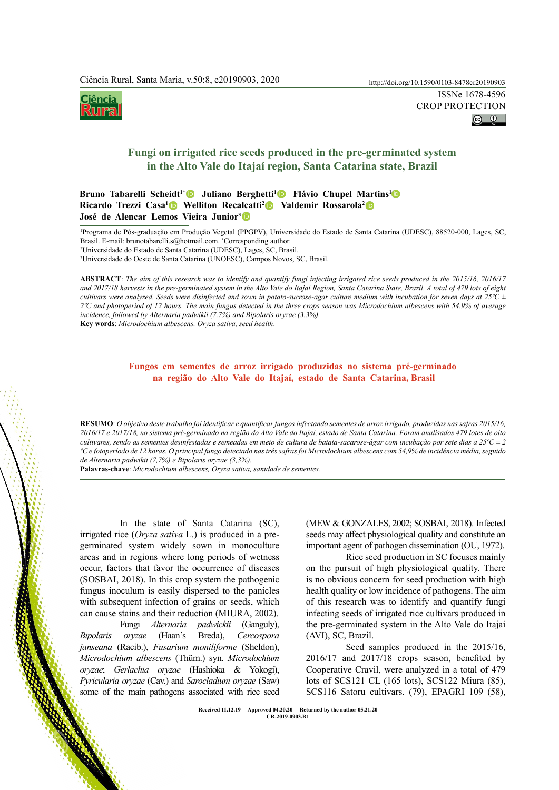# Ciência **KO JUMS**

# **Fungi on irrigated rice seeds produced in the pre-germinated system in the Alto Vale do Itajaí region, Santa Catarina state, Brazil**

# Bruno Tabarelli Scheidt<sup>1</sup><sup>\*</sup> Juliano Berghetti<sup>1</sup> Flávio Chupel Martins<sup>1</sup> Ricardo Trezzi Casa<sup>1</sup> • Welliton Recalcatti<sup>2</sup> • Valdemir Rossarola<sup>2</sup> **José de Alencar Lemos Vieira Junior3**

1 Programa de Pós-graduação em Produção Vegetal (PPGPV), Universidade do Estado de Santa Catarina (UDESC), 88520-000, Lages, SC, Brasil. E-mail: brunotabarelli.s@hotmail.com. \* Corresponding author.

2 Universidade do Estado de Santa Catarina (UDESC), Lages, SC, Brasil.

3 Universidade do Oeste de Santa Catarina (UNOESC), Campos Novos, SC, Brasil.

 http://doi.org/10.1590/0103-8478cr20190903In the state of Santa Catarina (SC), **ABSTRACT**: *The aim of this research was to identify and quantify fungi infecting irrigated rice seeds produced in the 2015/16, 2016/17 and 2017/18 harvests in the pre-germinated system in the Alto Vale do Itajaí Region, Santa Catarina State, Brazil. A total of 479 lots of eight cultivars were analyzed. Seeds were disinfected and sown in potato-sucrose-agar culture medium with incubation for seven days at 25ºC ± 2ºC and photoperiod of 12 hours. The main fungus detected in the three crops season was Microdochium albescens with 54.9% of average incidence, followed by Alternaria padwikii (7.7%) and Bipolaris oryzae (3.3%).* **Key words**: *Microdochium albescens, Oryza sativa, seed health*.

# **Fungos em sementes de arroz irrigado produzidas no sistema pré-germinado na região do Alto Vale do Itajaí, estado de Santa Catarina, Brasil**

**RESUMO**: *O objetivo deste trabalho foi identificar e quantificar fungos infectando sementes de arroz irrigado, produzidas nas safras 2015/16, 2016/17 e 2017/18, no sistema pré-germinado na região do Alto Vale do Itajaí, estado de Santa Catarina. Foram analisados 479 lotes de oito cultivares, sendo as sementes desinfestadas e semeadas em meio de cultura de batata-sacarose-ágar com incubação por sete dias a 25ºC ± 2 ºC e fotoperíodo de 12 horas. O principal fungo detectado nas três safras foi Microdochium albescens com 54,9% de incidência média, seguido de Alternaria padwikii (7,7%) e Bipolaris oryzae (3,3%).* 

**Palavras-chave**: *Microdochium albescens, Oryza sativa, sanidade de sementes.*

irrigated rice (*Oryza sativa* L.) is produced in a pregerminated system widely sown in monoculture areas and in regions where long periods of wetness occur, factors that favor the occurrence of diseases (SOSBAI, 2018). In this crop system the pathogenic fungus inoculum is easily dispersed to the panicles with subsequent infection of grains or seeds, which can cause stains and their reduction (MIURA, 2002).

Fungi *Alternaria padwickii* (Ganguly), *Bipolaris oryzae* (Haan's Breda), *Cercospora janseana* (Racib.), *Fusarium moniliforme* (Sheldon), *Microdochium albescens* [\(Thüm.\) s](http://www.speciesfungorum.org/Names/SynSpecies.asp?RecordID=812167)yn. *Microdochium oryzae*; *Gerlachia oryzae* (Hashioka & Yokogi), *Pyricularia oryzae* (Cav.) and *Sarocladium oryzae* (Saw) some of the main pathogens associated with rice seed

(MEW & GONZALES, 2002; SOSBAI, 2018). Infected seeds may affect physiological quality and constitute an important agent of pathogen dissemination (OU, 1972).

Rice seed production in SC focuses mainly on the pursuit of high physiological quality. There is no obvious concern for seed production with high health quality or low incidence of pathogens. The aim of this research was to identify and quantify fungi infecting seeds of irrigated rice cultivars produced in the pre-germinated system in the Alto Vale do Itajaí (AVI), SC, Brazil.

Seed samples produced in the 2015/16, 2016/17 and 2017/18 crops season, benefited by Cooperative Cravil, were analyzed in a total of 479 lots of SCS121 CL (165 lots), SCS122 Miura (85), SCS116 Satoru cultivars. (79), EPAGRI 109 (58),

**Ciência Rural, v.50, n.8, 2020. Received 11.12.19 Approved 04.20.20 Returned by the author 05.21.20 CR-2019-0903.R1**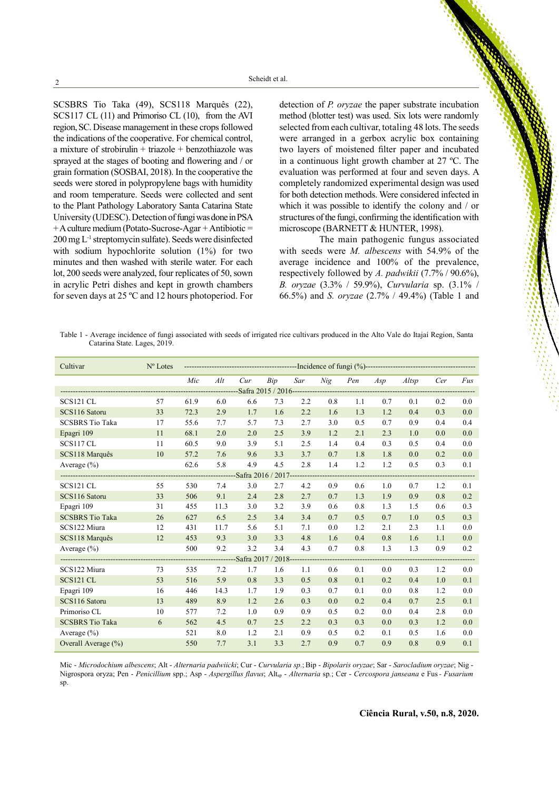SCSBRS Tio Taka (49), SCS118 Marquês (22), SCS117 CL (11) and Primoriso CL (10), from the AVI region, SC. Disease management in these crops followed the indications of the cooperative. For chemical control, a mixture of strobirulin + triazole + benzothiazole was sprayed at the stages of booting and flowering and / or grain formation (SOSBAI, 2018). In the cooperative the seeds were stored in polypropylene bags with humidity and room temperature. Seeds were collected and sent to the Plant Pathology Laboratory Santa Catarina State University (UDESC). Detection of fungi was done in PSA  $+A$  culture medium (Potato-Sucrose-Agar + Antibiotic = 200 mg L-1 streptomycin sulfate). Seeds were disinfected with sodium hypochlorite solution (1%) for two minutes and then washed with sterile water. For each lot, 200 seeds were analyzed, four replicates of 50, sown in acrylic Petri dishes and kept in growth chambers for seven days at 25 ºC and 12 hours photoperiod. For detection of *P. oryzae* the paper substrate incubation method (blotter test) was used. Six lots were randomly selected from each cultivar, totaling 48 lots. The seeds were arranged in a gerbox acrylic box containing two layers of moistened filter paper and incubated in a continuous light growth chamber at 27 ºC. The evaluation was performed at four and seven days. A completely randomized experimental design was used for both detection methods. Were considered infected in which it was possible to identify the colony and / or structures of the fungi, confirming the identification with microscope (BARNETT & HUNTER, 1998).

The main pathogenic fungus associated with seeds were *M. albescens* with 54.9% of the average incidence and 100% of the prevalence, respectively followed by *A. padwikii* (7.7% / 90.6%), *B. oryzae* (3.3% / 59.9%), *Curvularia* sp. (3.1% / 66.5%) and *S. oryzae* (2.7% / 49.4%) (Table 1 and

Table 1 - Average incidence of fungi associated with seeds of irrigated rice cultivars produced in the Alto Vale do Itajaí Region, Santa Catarina State. Lages, 2019.

| Cultivar                            | $N^{\circ}$ Lotes |      |      |     |     |     |     |     |     |       |     |     |
|-------------------------------------|-------------------|------|------|-----|-----|-----|-----|-----|-----|-------|-----|-----|
|                                     |                   | Mic  | Alt  | Cur | Bip | Sar | Nig | Pen | Asp | Altsp | Cer | Fus |
|                                     |                   |      |      |     |     |     |     |     |     |       |     |     |
| SCS121 CL                           | 57                | 61.9 | 6.0  | 6.6 | 7.3 | 2.2 | 0.8 | 1.1 | 0.7 | 0.1   | 0.2 | 0.0 |
| SCS116 Satoru                       | 33                | 72.3 | 2.9  | 1.7 | 1.6 | 2.2 | 1.6 | 1.3 | 1.2 | 0.4   | 0.3 | 0.0 |
| <b>SCSBRS</b> Tio Taka              | 17                | 55.6 | 7.7  | 5.7 | 7.3 | 2.7 | 3.0 | 0.5 | 0.7 | 0.9   | 0.4 | 0.4 |
| Epagri 109                          | 11                | 68.1 | 2.0  | 2.0 | 2.5 | 3.9 | 1.2 | 2.1 | 2.3 | 1.0   | 0.0 | 0.0 |
| SCS117 CL                           | 11                | 60.5 | 9.0  | 3.9 | 5.1 | 2.5 | 1.4 | 0.4 | 0.3 | 0.5   | 0.4 | 0.0 |
| SCS118 Marquês                      | 10                | 57.2 | 7.6  | 9.6 | 3.3 | 3.7 | 0.7 | 1.8 | 1.8 | 0.0   | 0.2 | 0.0 |
| Average (%)                         |                   | 62.6 | 5.8  | 4.9 | 4.5 | 2.8 | 1.4 | 1.2 | 1.2 | 0.5   | 0.3 | 0.1 |
| -----------------------Safra 2016 / |                   |      |      |     |     |     |     |     |     |       |     |     |
| SCS121 CL                           | 55                | 530  | 7.4  | 3.0 | 2.7 | 4.2 | 0.9 | 0.6 | 1.0 | 0.7   | 1.2 | 0.1 |
| SCS116 Satoru                       | 33                | 506  | 9.1  | 2.4 | 2.8 | 2.7 | 0.7 | 1.3 | 1.9 | 0.9   | 0.8 | 0.2 |
| Epagri 109                          | 31                | 455  | 11.3 | 3.0 | 3.2 | 3.9 | 0.6 | 0.8 | 1.3 | 1.5   | 0.6 | 0.3 |
| <b>SCSBRS Tio Taka</b>              | 26                | 627  | 6.5  | 2.5 | 3.4 | 3.4 | 0.7 | 0.5 | 0.7 | 1.0   | 0.5 | 0.3 |
| SCS122 Miura                        | 12                | 431  | 11.7 | 5.6 | 5.1 | 7.1 | 0.0 | 1.2 | 2.1 | 2.3   | 1.1 | 0.0 |
| SCS118 Marquês                      | 12                | 453  | 9.3  | 3.0 | 3.3 | 4.8 | 1.6 | 0.4 | 0.8 | 1.6   | 1.1 | 0.0 |
| Average $(\% )$                     |                   | 500  | 9.2  | 3.2 | 3.4 | 4.3 | 0.7 | 0.8 | 1.3 | 1.3   | 0.9 | 0.2 |
| --Safra 2017<br>$2018 -$<br>.       |                   |      |      |     |     |     |     |     |     |       |     |     |
| SCS122 Miura                        | 73                | 535  | 7.2  | 1.7 | 1.6 | 1.1 | 0.6 | 0.1 | 0.0 | 0.3   | 1.2 | 0.0 |
| <b>SCS121 CL</b>                    | 53                | 516  | 5.9  | 0.8 | 3.3 | 0.5 | 0.8 | 0.1 | 0.2 | 0.4   | 1.0 | 0.1 |
| Epagri 109                          | 16                | 446  | 14.3 | 1.7 | 1.9 | 0.3 | 0.7 | 0.1 | 0.0 | 0.8   | 1.2 | 0.0 |
| SCS116 Satoru                       | 13                | 489  | 8.9  | 1.2 | 2.6 | 0.3 | 0.0 | 0.2 | 0.4 | 0.7   | 2.5 | 0.1 |
| Primoriso CL                        | 10                | 577  | 7.2  | 1.0 | 0.9 | 0.9 | 0.5 | 0.2 | 0.0 | 0.4   | 2.8 | 0.0 |
| <b>SCSBRS</b> Tio Taka              | 6                 | 562  | 4.5  | 0.7 | 2.5 | 2.2 | 0.3 | 0.3 | 0.0 | 0.3   | 1.2 | 0.0 |
| Average $(\% )$                     |                   | 521  | 8.0  | 1.2 | 2.1 | 0.9 | 0.5 | 0.2 | 0.1 | 0.5   | 1.6 | 0.0 |
| Overall Average (%)                 |                   | 550  | 7.7  | 3.1 | 3.3 | 2.7 | 0.9 | 0.7 | 0.9 | 0.8   | 0.9 | 0.1 |

Mic - *Microdochium albescens*; Alt - *Alternaria padwiicki*; Cur - *Curvularia sp.*;Bip - *Bipolaris oryzae*; Sar - *Sarocladium oryzae*; Nig - Nigrospora oryza; Pen - *Penicillium* spp.; Asp - *Aspergillus flavus*; Altsp - *Alternaria* sp*.*; Cer - *Cercospora janseana* e Fus*- Fusarium*  sp.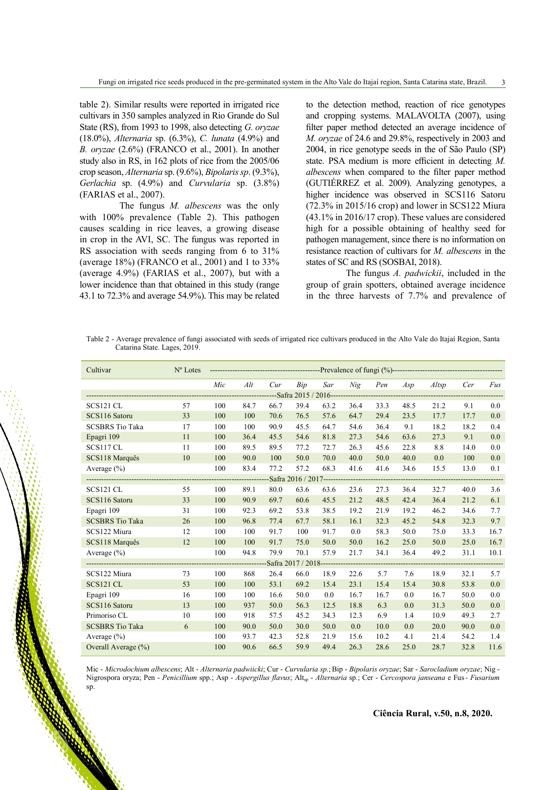table 2). Similar results were reported in irrigated rice cultivars in 350 samples analyzed in Rio Grande do Sul State (RS), from 1993 to 1998, also detecting *G. oryzae* (18.0%), *Alternaria* sp. (6.3%), *C. lunata* (4.9%) and *B. oryzae* (2.6%) (FRANCO et al., 2001). In another study also in RS, in 162 plots of rice from the 2005/06 crop season, *Alternaria* sp. (9.6%), *Bipolaris sp*. (9.3%), *Gerlachia* sp. (4.9%) and *Curvularia* sp. (3.8%) (FARIAS et al., 2007).

The fungus *M. albescens* was the only with 100% prevalence (Table 2). This pathogen causes scalding in rice leaves, a growing disease in crop in the AVI, SC. The fungus was reported in RS association with seeds ranging from 6 to 31% (average 18%) (FRANCO et al., 2001) and 1 to 33% (average 4.9%) (FARIAS et al., 2007), but with a lower incidence than that obtained in this study (range 43.1 to 72.3% and average 54.9%). This may be related to the detection method, reaction of rice genotypes and cropping systems. MALAVOLTA (2007), using filter paper method detected an average incidence of *M. oryzae* of 24.6 and 29.8%, respectively in 2003 and 2004, in rice genotype seeds in the of São Paulo (SP) state. PSA medium is more efficient in detecting *M. albescens* when compared to the filter paper method (GUTIÉRREZ et al. 2009). Analyzing genotypes, a higher incidence was observed in SCS116 Satoru (72.3% in 2015/16 crop) and lower in SCS122 Miura (43.1% in 2016/17 crop). These values are considered high for a possible obtaining of healthy seed for pathogen management, since there is no information on resistance reaction of cultivars for *M. albescens* in the states of SC and RS (SOSBAI, 2018).

The fungus *A. padwickii*, included in the group of grain spotters, obtained average incidence in the three harvests of 7.7% and prevalence of

Table 2 - Average prevalence of fungi associated with seeds of irrigated rice cultivars produced in the Alto Vale do Itajaí Region, Santa Catarina State. Lages, 2019.

| Cultivar               | $N^{\circ}$ Lotes |     |      |      |      |      |      |      |      |       |      |      |
|------------------------|-------------------|-----|------|------|------|------|------|------|------|-------|------|------|
|                        |                   | Mic | Alt  | Cur  | Bip  | Sar  | Nig  | Pen  | Asp  | Altsp | Cer  | Fus  |
|                        |                   |     |      |      |      |      |      |      |      |       |      |      |
| SCS121 CL              | 57                | 100 | 84.7 | 66.7 | 39.4 | 63.2 | 36.4 | 33.3 | 48.5 | 21.2  | 9.1  | 0.0  |
| SCS116 Satoru          | 33                | 100 | 100  | 70.6 | 76.5 | 57.6 | 64.7 | 29.4 | 23.5 | 17.7  | 17.7 | 0.0  |
| <b>SCSBRS Tio Taka</b> | 17                | 100 | 100  | 90.9 | 45.5 | 64.7 | 54.6 | 36.4 | 9.1  | 18.2  | 18.2 | 0.4  |
| Epagri 109             | 11                | 100 | 36.4 | 45.5 | 54.6 | 81.8 | 27.3 | 54.6 | 63.6 | 27.3  | 9.1  | 0.0  |
| SCS117 CL              | 11                | 100 | 89.5 | 89.5 | 77.2 | 72.7 | 26.3 | 45.6 | 22.8 | 8.8   | 14.0 | 0.0  |
| SCS118 Marquês         | 10                | 100 | 90.0 | 100  | 50.0 | 70.0 | 40.0 | 50.0 | 40.0 | 0.0   | 100  | 0.0  |
| Average $(\% )$        |                   | 100 | 83.4 | 77.2 | 57.2 | 68.3 | 41.6 | 41.6 | 34.6 | 15.5  | 13.0 | 0.1  |
|                        |                   |     |      |      |      |      |      |      |      |       |      |      |
| SCS121 CL              | 55                | 100 | 89.1 | 80.0 | 63.6 | 63.6 | 23.6 | 27.3 | 36.4 | 32.7  | 40.0 | 3.6  |
| SCS116 Satoru          | 33                | 100 | 90.9 | 69.7 | 60.6 | 45.5 | 21.2 | 48.5 | 42.4 | 36.4  | 21.2 | 6.1  |
| Epagri 109             | 31                | 100 | 92.3 | 69.2 | 53.8 | 38.5 | 19.2 | 21.9 | 19.2 | 46.2  | 34.6 | 7.7  |
| <b>SCSBRS Tio Taka</b> | 26                | 100 | 96.8 | 77.4 | 67.7 | 58.1 | 16.1 | 32.3 | 45.2 | 54.8  | 32.3 | 9.7  |
| SCS122 Miura           | 12                | 100 | 100  | 91.7 | 100  | 91.7 | 0.0  | 58.3 | 50.0 | 75.0  | 33.3 | 16.7 |
| SCS118 Marquês         | 12                | 100 | 100  | 91.7 | 75.0 | 50.0 | 50.0 | 16.2 | 25.0 | 50.0  | 25.0 | 16.7 |
| Average $(\% )$        |                   | 100 | 94.8 | 79.9 | 70.1 | 57.9 | 21.7 | 34.1 | 36.4 | 49.2  | 31.1 | 10.1 |
|                        |                   |     |      |      |      |      |      |      |      |       |      |      |
| SCS122 Miura           | 73                | 100 | 868  | 26.4 | 66.0 | 18.9 | 22.6 | 5.7  | 7.6  | 18.9  | 32.1 | 5.7  |
| <b>SCS121 CL</b>       | 53                | 100 | 100  | 53.1 | 69.2 | 15.4 | 23.1 | 15.4 | 15.4 | 30.8  | 53.8 | 0.0  |
| Epagri 109             | 16                | 100 | 100  | 16.6 | 50.0 | 0.0  | 16.7 | 16.7 | 0.0  | 16.7  | 50.0 | 0.0  |
| SCS116 Satoru          | 13                | 100 | 937  | 50.0 | 56.3 | 12.5 | 18.8 | 6.3  | 0.0  | 31.3  | 50.0 | 0.0  |
| Primoriso CL           | 10                | 100 | 918  | 57.5 | 45.2 | 34.3 | 12.3 | 6.9  | 1.4  | 10.9  | 49.3 | 2.7  |
| <b>SCSBRS Tio Taka</b> | 6                 | 100 | 90.0 | 50.0 | 30.0 | 50.0 | 0.0  | 10.0 | 0.0  | 20.0  | 90.0 | 0.0  |
| Average $(\% )$        |                   | 100 | 93.7 | 42.3 | 52.8 | 21.9 | 15.6 | 10.2 | 4.1  | 21.4  | 54.2 | 1.4  |
| Overall Average (%)    |                   | 100 | 90.6 | 66.5 | 59.9 | 49.4 | 26.3 | 28.6 | 25.0 | 28.7  | 32.8 | 11.6 |

Mic - *Microdochium albescens*; Alt - *Alternaria padwiicki*; Cur - *Curvularia sp.*;Bip - *Bipolaris oryzae*; Sar - *Sarocladium oryzae*; Nig - Nigrospora oryza; Pen - *Penicillium* spp.; Asp - *Aspergillus flavus*; Altsp - *Alternaria* sp*.*; Cer - *Cercospora janseana* e Fus*- Fusarium*  sp.

#### **Ciência Rural, v.50, n.8, 2020.**